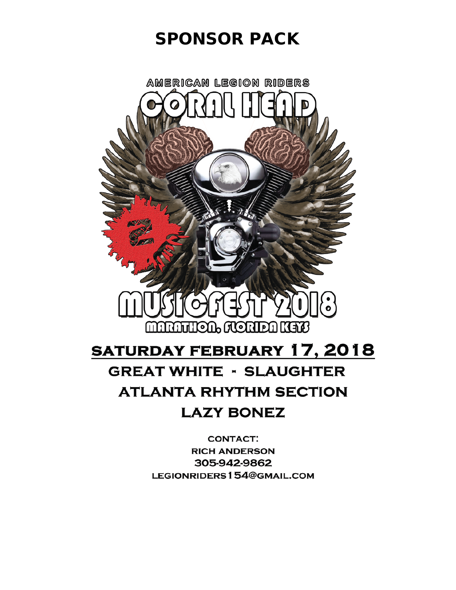# SPONSOR PACK



# **SATURDAY FEBRUARY 17, 2018 GREAT WHITE - SLAUGHTER ATLANTA RHYTHM SECTION LAZY BONEZ**

**CONTACT: RICH ANDERSON** 305-942-9862 LEGIONRIDERS154@GMAIL.COM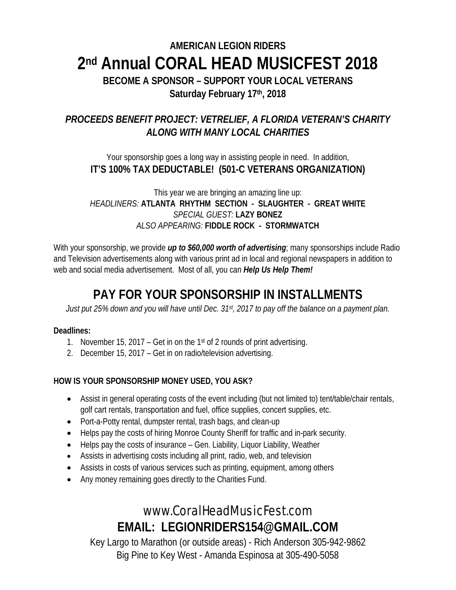# **AMERICAN LEGION RIDERS 2nd Annual CORAL HEAD MUSICFEST 2018**

**BECOME A SPONSOR – SUPPORT YOUR LOCAL VETERANS Saturday February 17th, 2018**

## *PROCEEDS BENEFIT PROJECT: VETRELIEF, A FLORIDA VETERAN'S CHARITY ALONG WITH MANY LOCAL CHARITIES*

#### Your sponsorship goes a long way in assisting people in need. In addition, **IT'S 100% TAX DEDUCTABLE! (501-C VETERANS ORGANIZATION)**

This year we are bringing an amazing line up: *HEADLINERS:* **ATLANTA RHYTHM SECTION - SLAUGHTER - GREAT WHITE** *SPECIAL GUEST:* **LAZY BONEZ** *ALSO APPEARING:* **FIDDLE ROCK - STORMWATCH**

With your sponsorship, we provide *up to \$60,000 worth of advertising*; many sponsorships include Radio and Television advertisements along with various print ad in local and regional newspapers in addition to web and social media advertisement. Most of all, you can *Help Us Help Them!*

# **PAY FOR YOUR SPONSORSHIP IN INSTALLMENTS**

*Just put 25% down and you will have until Dec. 31st, 2017 to pay off the balance on a payment plan.*

#### **Deadlines:**

- 1. November 15, 2017 Get in on the 1st of 2 rounds of print advertising.
- 2. December 15, 2017 Get in on radio/television advertising.

#### **HOW IS YOUR SPONSORSHIP MONEY USED, YOU ASK?**

- Assist in general operating costs of the event including (but not limited to) tent/table/chair rentals, golf cart rentals, transportation and fuel, office supplies, concert supplies, etc.
- Port-a-Potty rental, dumpster rental, trash bags, and clean-up
- Helps pay the costs of hiring Monroe County Sheriff for traffic and in-park security.
- Helps pay the costs of insurance Gen. Liability, Liquor Liability, Weather
- Assists in advertising costs including all print, radio, web, and television
- Assists in costs of various services such as printing, equipment, among others
- Any money remaining goes directly to the Charities Fund.

# www.CoralHeadMusicFest.com **EMAIL: LEGIONRIDERS154@GMAIL.COM**

Key Largo to Marathon (or outside areas) - Rich Anderson 305-942-9862 Big Pine to Key West - Amanda Espinosa at 305-490-5058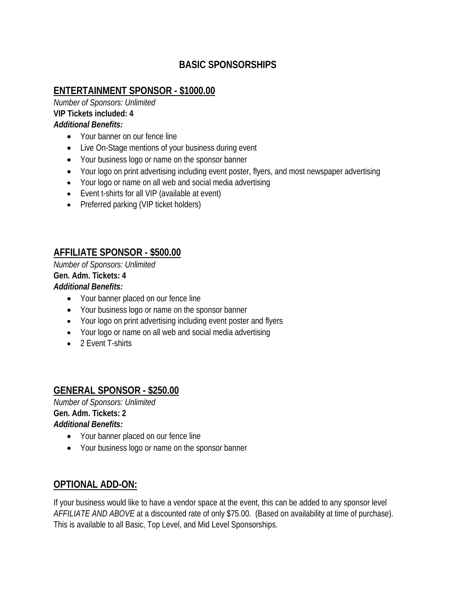### **BASIC SPONSORSHIPS**

### **ENTERTAINMENT SPONSOR - \$1000.00**

*Number of Sponsors: Unlimited* **VIP Tickets included: 4** *Additional Benefits:*

- Your banner on our fence line
- Live On-Stage mentions of your business during event
- Your business logo or name on the sponsor banner
- Your logo on print advertising including event poster, flyers, and most newspaper advertising
- Your logo or name on all web and social media advertising
- Event t-shirts for all VIP (available at event)
- Preferred parking (VIP ticket holders)

### **AFFILIATE SPONSOR - \$500.00**

*Number of Sponsors: Unlimited* **Gen. Adm. Tickets: 4** *Additional Benefits:*

- Your banner placed on our fence line
- Your business logo or name on the sponsor banner
- Your logo on print advertising including event poster and flyers
- Your logo or name on all web and social media advertising
- 2 Event T-shirts

### **GENERAL SPONSOR - \$250.00**

*Number of Sponsors: Unlimited* **Gen. Adm. Tickets: 2** *Additional Benefits:*

- Your banner placed on our fence line
- Your business logo or name on the sponsor banner

### **OPTIONAL ADD-ON:**

If your business would like to have a vendor space at the event, this can be added to any sponsor level *AFFILIATE AND ABOVE* at a discounted rate of only \$75.00. (Based on availability at time of purchase). This is available to all Basic, Top Level, and Mid Level Sponsorships.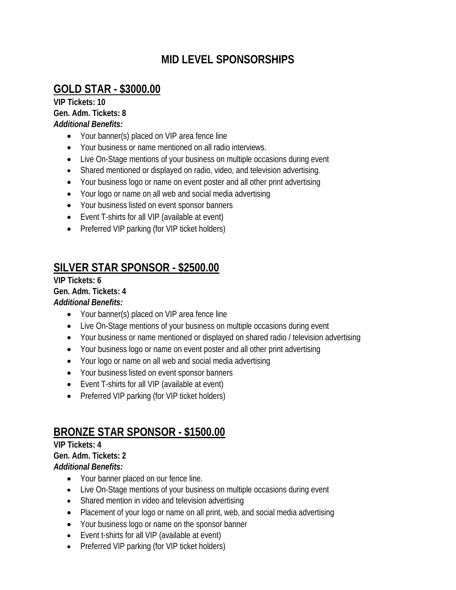# **MID LEVEL SPONSORSHIPS**

# **GOLD STAR - \$3000.00**

**VIP Tickets: 10 Gen. Adm. Tickets: 8** *Additional Benefits:*

- Your banner(s) placed on VIP area fence line
- Your business or name mentioned on all radio interviews.
- Live On-Stage mentions of your business on multiple occasions during event
- Shared mentioned or displayed on radio, video, and television advertising.
- Your business logo or name on event poster and all other print advertising
- Your logo or name on all web and social media advertising
- Your business listed on event sponsor banners
- Event T-shirts for all VIP (available at event)
- Preferred VIP parking (for VIP ticket holders)

# **SILVER STAR SPONSOR - \$2500.00**

**VIP Tickets: 6**

**Gen. Adm. Tickets: 4**

#### *Additional Benefits:*

- Your banner(s) placed on VIP area fence line
- Live On-Stage mentions of your business on multiple occasions during event
- Your business or name mentioned or displayed on shared radio / television advertising
- Your business logo or name on event poster and all other print advertising
- Your logo or name on all web and social media advertising
- Your business listed on event sponsor banners
- Event T-shirts for all VIP (available at event)
- Preferred VIP parking (for VIP ticket holders)

# **BRONZE STAR SPONSOR - \$1500.00**

# **VIP Tickets: 4**

#### **Gen. Adm. Tickets: 2**

*Additional Benefits:*

- Your banner placed on our fence line.
- Live On-Stage mentions of your business on multiple occasions during event
- Shared mention in video and television advertising
- Placement of your logo or name on all print, web, and social media advertising
- Your business logo or name on the sponsor banner
- Event t-shirts for all VIP (available at event)
- Preferred VIP parking (for VIP ticket holders)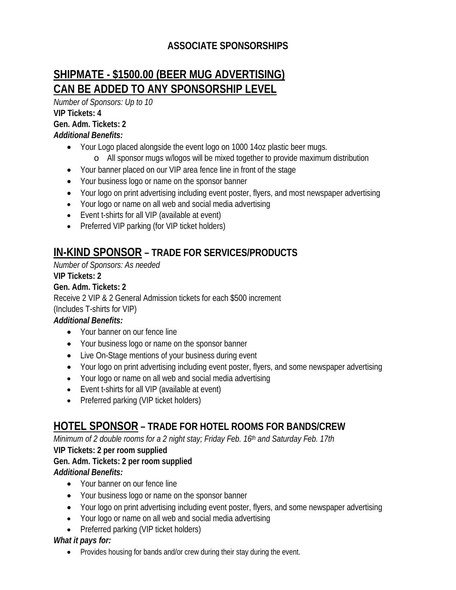## **ASSOCIATE SPONSORSHIPS**

# **SHIPMATE - \$1500.00 (BEER MUG ADVERTISING) CAN BE ADDED TO ANY SPONSORSHIP LEVEL**

*Number of Sponsors: Up to 10*

**VIP Tickets: 4 Gen. Adm. Tickets: 2**

*Additional Benefits:*

- Your Logo placed alongside the event logo on 1000 14oz plastic beer mugs.
	- o All sponsor mugs w/logos will be mixed together to provide maximum distribution
- Your banner placed on our VIP area fence line in front of the stage
- Your business logo or name on the sponsor banner
- Your logo on print advertising including event poster, flyers, and most newspaper advertising
- Your logo or name on all web and social media advertising
- Event t-shirts for all VIP (available at event)
- Preferred VIP parking (for VIP ticket holders)

# **IN-KIND SPONSOR – TRADE FOR SERVICES/PRODUCTS**

*Number of Sponsors: As needed*

#### **VIP Tickets: 2**

**Gen. Adm. Tickets: 2**

Receive 2 VIP & 2 General Admission tickets for each \$500 increment

(Includes T-shirts for VIP)

#### *Additional Benefits:*

- Your banner on our fence line
- Your business logo or name on the sponsor banner
- Live On-Stage mentions of your business during event
- Your logo on print advertising including event poster, flyers, and some newspaper advertising
- Your logo or name on all web and social media advertising
- Event t-shirts for all VIP (available at event)
- Preferred parking (VIP ticket holders)

# **HOTEL SPONSOR – TRADE FOR HOTEL ROOMS FOR BANDS/CREW**

*Minimum of 2 double rooms for a 2 night stay; Friday Feb. 16th and Saturday Feb. 17th*

#### **VIP Tickets: 2 per room supplied**

## **Gen. Adm. Tickets: 2 per room supplied**

#### *Additional Benefits:*

- Your banner on our fence line
- Your business logo or name on the sponsor banner
- Your logo on print advertising including event poster, flyers, and some newspaper advertising
- Your logo or name on all web and social media advertising
- Preferred parking (VIP ticket holders)

#### *What it pays for:*

• Provides housing for bands and/or crew during their stay during the event.